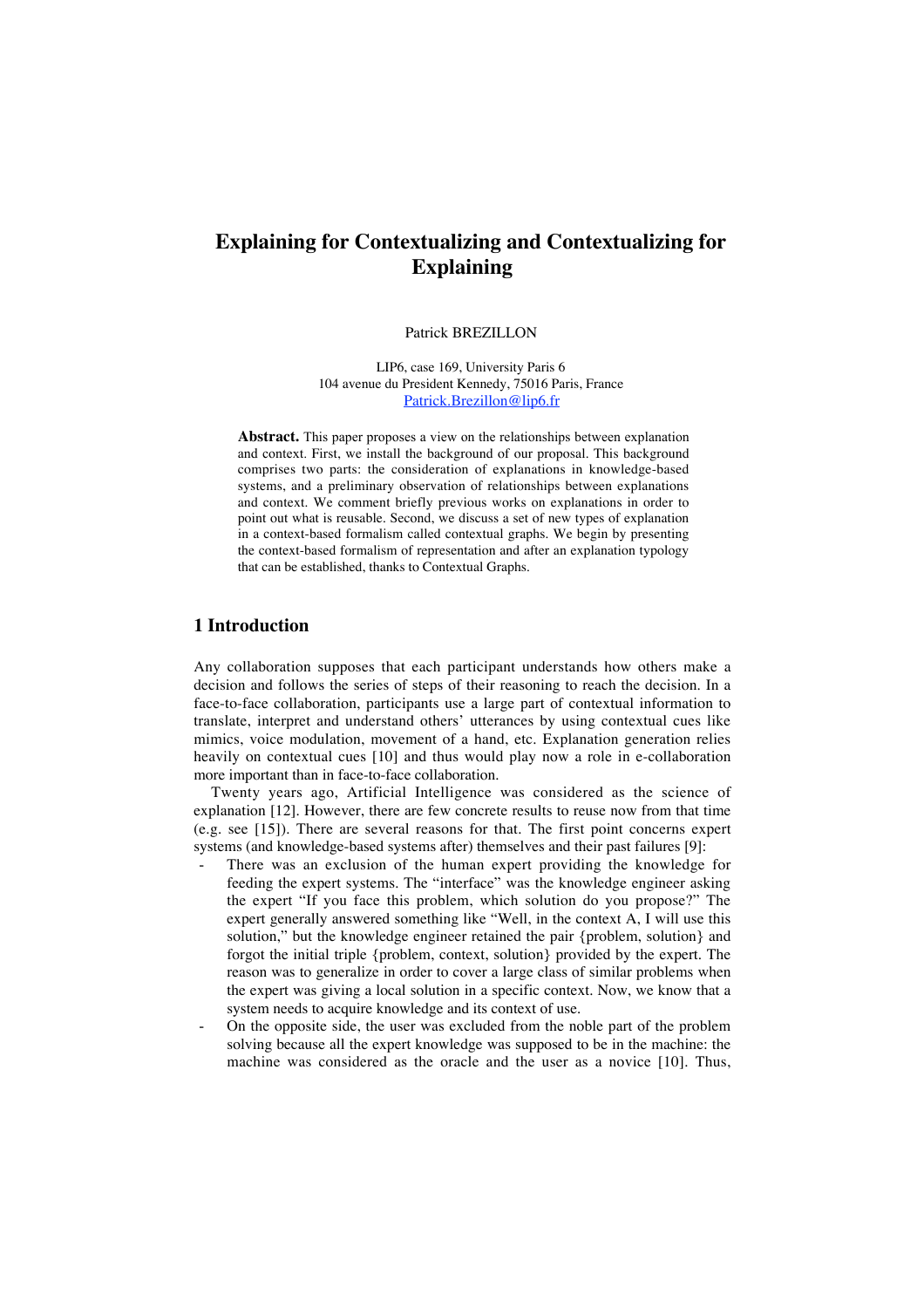# **Explaining for Contextualizing and Contextualizing for Explaining**

# Patrick BREZILLON

LIP6, case 169, University Paris 6 104 avenue du President Kennedy, 75016 Paris, France Patrick.Brezillon@lip6.fr

**Abstract.** This paper proposes a view on the relationships between explanation and context. First, we install the background of our proposal. This background comprises two parts: the consideration of explanations in knowledge-based systems, and a preliminary observation of relationships between explanations and context. We comment briefly previous works on explanations in order to point out what is reusable. Second, we discuss a set of new types of explanation in a context-based formalism called contextual graphs. We begin by presenting the context-based formalism of representation and after an explanation typology that can be established, thanks to Contextual Graphs.

# **1 Introduction**

Any collaboration supposes that each participant understands how others make a decision and follows the series of steps of their reasoning to reach the decision. In a face-to-face collaboration, participants use a large part of contextual information to translate, interpret and understand others' utterances by using contextual cues like mimics, voice modulation, movement of a hand, etc. Explanation generation relies heavily on contextual cues [10] and thus would play now a role in e-collaboration more important than in face-to-face collaboration.

Twenty years ago, Artificial Intelligence was considered as the science of explanation [12]. However, there are few concrete results to reuse now from that time (e.g. see [15]). There are several reasons for that. The first point concerns expert systems (and knowledge-based systems after) themselves and their past failures [9]:

- There was an exclusion of the human expert providing the knowledge for feeding the expert systems. The "interface" was the knowledge engineer asking the expert "If you face this problem, which solution do you propose?" The expert generally answered something like "Well, in the context A, I will use this solution," but the knowledge engineer retained the pair {problem, solution} and forgot the initial triple {problem, context, solution} provided by the expert. The reason was to generalize in order to cover a large class of similar problems when the expert was giving a local solution in a specific context. Now, we know that a system needs to acquire knowledge and its context of use.
- On the opposite side, the user was excluded from the noble part of the problem solving because all the expert knowledge was supposed to be in the machine: the machine was considered as the oracle and the user as a novice [10]. Thus,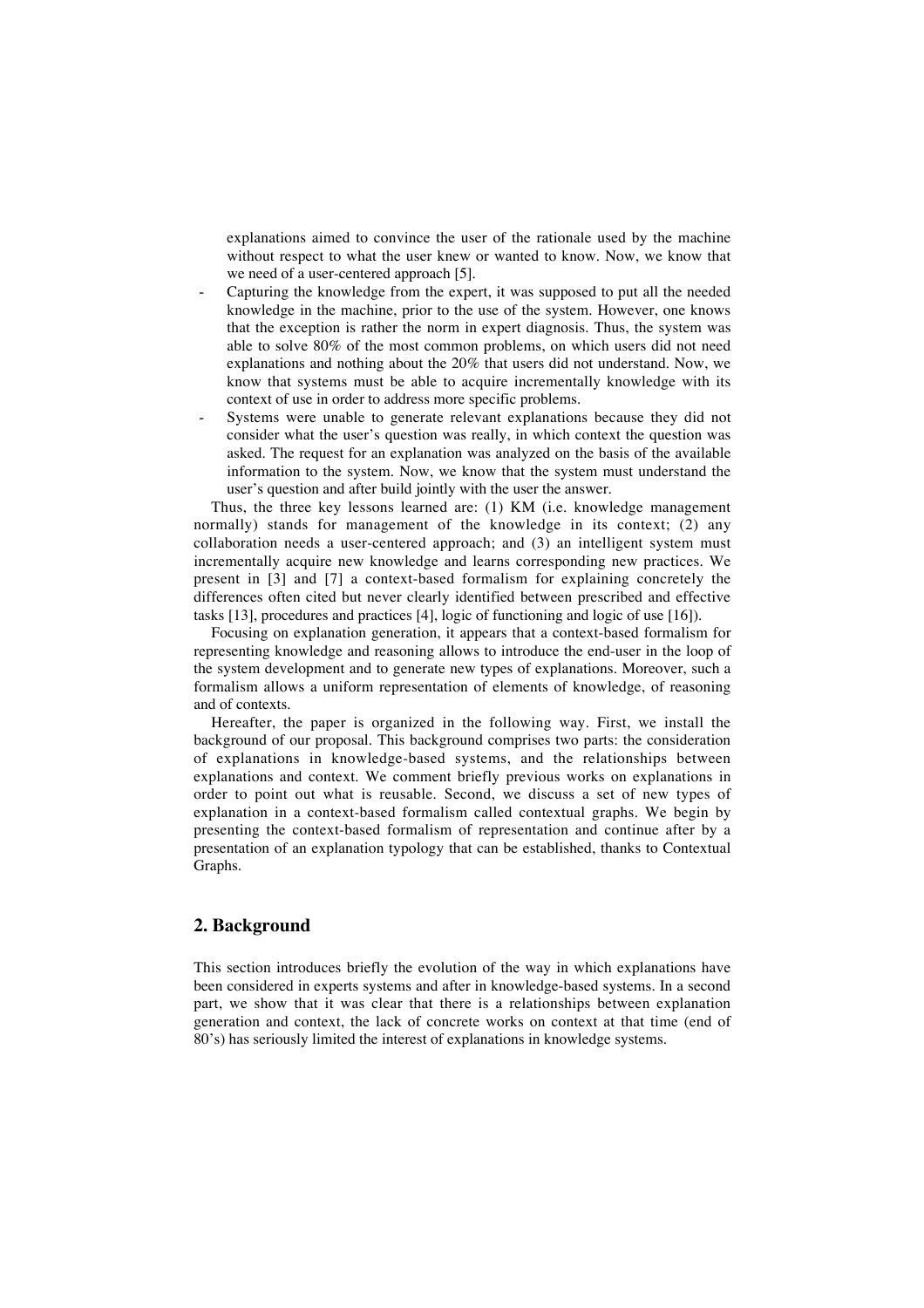explanations aimed to convince the user of the rationale used by the machine without respect to what the user knew or wanted to know. Now, we know that we need of a user-centered approach [5].

- Capturing the knowledge from the expert, it was supposed to put all the needed knowledge in the machine, prior to the use of the system. However, one knows that the exception is rather the norm in expert diagnosis. Thus, the system was able to solve 80% of the most common problems, on which users did not need explanations and nothing about the 20% that users did not understand. Now, we know that systems must be able to acquire incrementally knowledge with its context of use in order to address more specific problems.
- Systems were unable to generate relevant explanations because they did not consider what the user's question was really, in which context the question was asked. The request for an explanation was analyzed on the basis of the available information to the system. Now, we know that the system must understand the user's question and after build jointly with the user the answer.

Thus, the three key lessons learned are: (1) KM (i.e. knowledge management normally) stands for management of the knowledge in its context; (2) any collaboration needs a user-centered approach; and (3) an intelligent system must incrementally acquire new knowledge and learns corresponding new practices. We present in [3] and [7] a context-based formalism for explaining concretely the differences often cited but never clearly identified between prescribed and effective tasks [13], procedures and practices [4], logic of functioning and logic of use [16]).

Focusing on explanation generation, it appears that a context-based formalism for representing knowledge and reasoning allows to introduce the end-user in the loop of the system development and to generate new types of explanations. Moreover, such a formalism allows a uniform representation of elements of knowledge, of reasoning and of contexts.

Hereafter, the paper is organized in the following way. First, we install the background of our proposal. This background comprises two parts: the consideration of explanations in knowledge-based systems, and the relationships between explanations and context. We comment briefly previous works on explanations in order to point out what is reusable. Second, we discuss a set of new types of explanation in a context-based formalism called contextual graphs. We begin by presenting the context-based formalism of representation and continue after by a presentation of an explanation typology that can be established, thanks to Contextual Graphs.

# **2. Background**

This section introduces briefly the evolution of the way in which explanations have been considered in experts systems and after in knowledge-based systems. In a second part, we show that it was clear that there is a relationships between explanation generation and context, the lack of concrete works on context at that time (end of 80's) has seriously limited the interest of explanations in knowledge systems.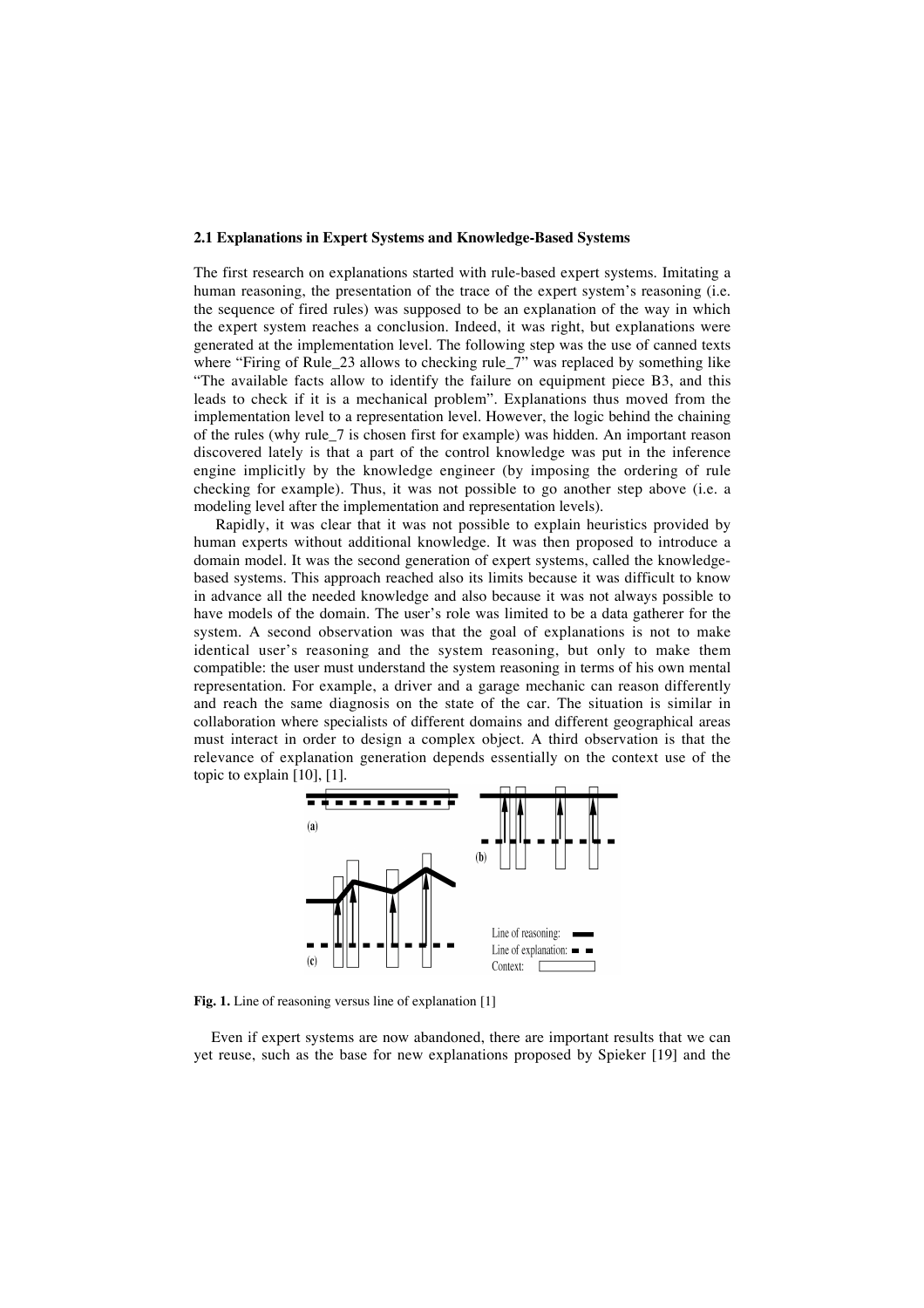#### **2.1 Explanations in Expert Systems and Knowledge-Based Systems**

The first research on explanations started with rule-based expert systems. Imitating a human reasoning, the presentation of the trace of the expert system's reasoning (i.e. the sequence of fired rules) was supposed to be an explanation of the way in which the expert system reaches a conclusion. Indeed, it was right, but explanations were generated at the implementation level. The following step was the use of canned texts where "Firing of Rule\_23 allows to checking rule\_7" was replaced by something like "The available facts allow to identify the failure on equipment piece B3, and this leads to check if it is a mechanical problem". Explanations thus moved from the implementation level to a representation level. However, the logic behind the chaining of the rules (why rule\_7 is chosen first for example) was hidden. An important reason discovered lately is that a part of the control knowledge was put in the inference engine implicitly by the knowledge engineer (by imposing the ordering of rule checking for example). Thus, it was not possible to go another step above (i.e. a modeling level after the implementation and representation levels).

Rapidly, it was clear that it was not possible to explain heuristics provided by human experts without additional knowledge. It was then proposed to introduce a domain model. It was the second generation of expert systems, called the knowledgebased systems. This approach reached also its limits because it was difficult to know in advance all the needed knowledge and also because it was not always possible to have models of the domain. The user's role was limited to be a data gatherer for the system. A second observation was that the goal of explanations is not to make identical user's reasoning and the system reasoning, but only to make them compatible: the user must understand the system reasoning in terms of his own mental representation. For example, a driver and a garage mechanic can reason differently and reach the same diagnosis on the state of the car. The situation is similar in collaboration where specialists of different domains and different geographical areas must interact in order to design a complex object. A third observation is that the relevance of explanation generation depends essentially on the context use of the topic to explain [10], [1].



**Fig. 1.** Line of reasoning versus line of explanation [1]

Even if expert systems are now abandoned, there are important results that we can yet reuse, such as the base for new explanations proposed by Spieker [19] and the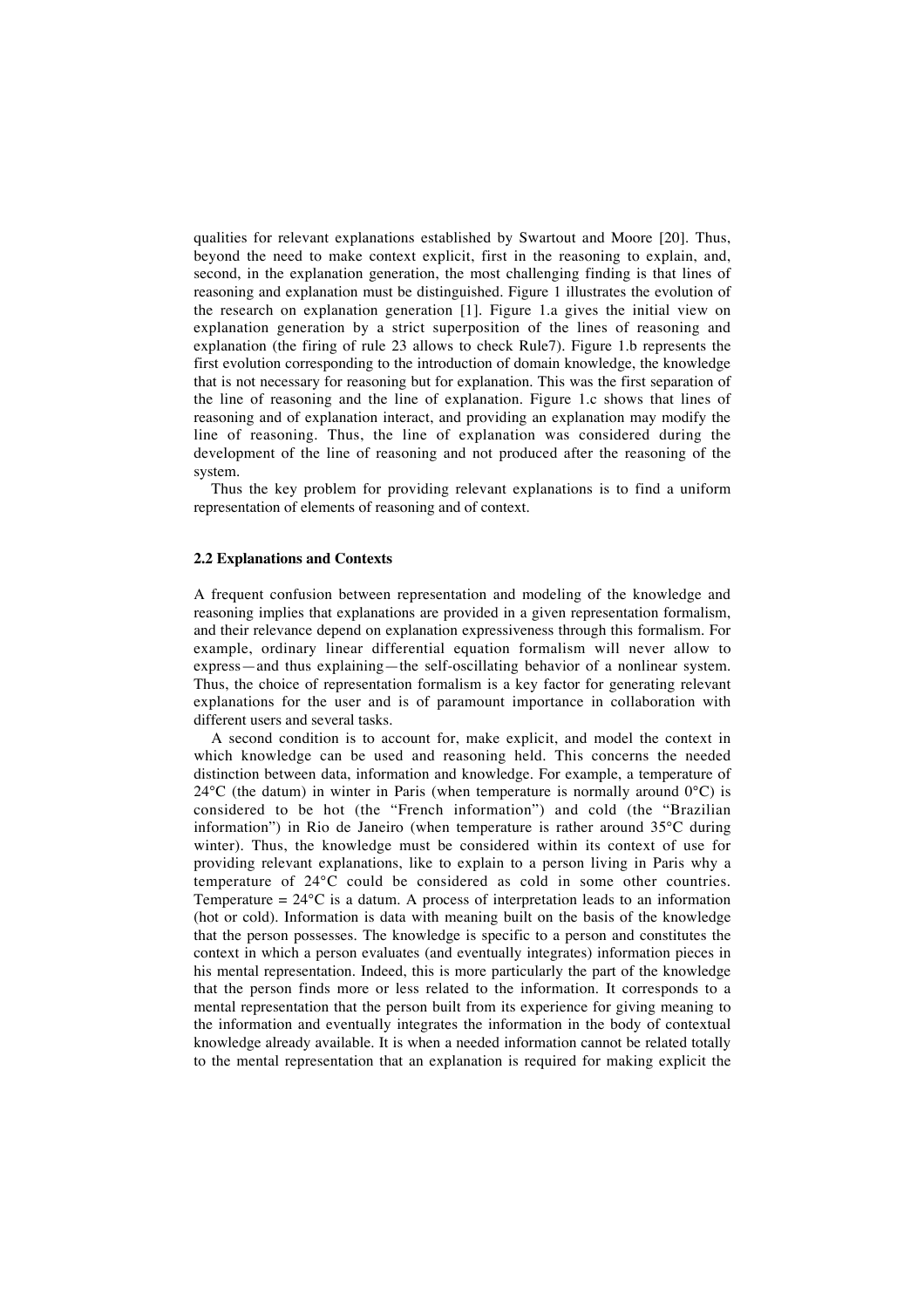qualities for relevant explanations established by Swartout and Moore [20]. Thus, beyond the need to make context explicit, first in the reasoning to explain, and, second, in the explanation generation, the most challenging finding is that lines of reasoning and explanation must be distinguished. Figure 1 illustrates the evolution of the research on explanation generation [1]. Figure 1.a gives the initial view on explanation generation by a strict superposition of the lines of reasoning and explanation (the firing of rule 23 allows to check Rule7). Figure 1.b represents the first evolution corresponding to the introduction of domain knowledge, the knowledge that is not necessary for reasoning but for explanation. This was the first separation of the line of reasoning and the line of explanation. Figure 1.c shows that lines of reasoning and of explanation interact, and providing an explanation may modify the line of reasoning. Thus, the line of explanation was considered during the development of the line of reasoning and not produced after the reasoning of the system.

Thus the key problem for providing relevant explanations is to find a uniform representation of elements of reasoning and of context.

#### **2.2 Explanations and Contexts**

A frequent confusion between representation and modeling of the knowledge and reasoning implies that explanations are provided in a given representation formalism, and their relevance depend on explanation expressiveness through this formalism. For example, ordinary linear differential equation formalism will never allow to express—and thus explaining—the self-oscillating behavior of a nonlinear system. Thus, the choice of representation formalism is a key factor for generating relevant explanations for the user and is of paramount importance in collaboration with different users and several tasks.

A second condition is to account for, make explicit, and model the context in which knowledge can be used and reasoning held. This concerns the needed distinction between data, information and knowledge. For example, a temperature of  $24^{\circ}$ C (the datum) in winter in Paris (when temperature is normally around  $0^{\circ}$ C) is considered to be hot (the "French information") and cold (the "Brazilian information") in Rio de Janeiro (when temperature is rather around 35°C during winter). Thus, the knowledge must be considered within its context of use for providing relevant explanations, like to explain to a person living in Paris why a temperature of 24°C could be considered as cold in some other countries. Temperature  $= 24^{\circ}$ C is a datum. A process of interpretation leads to an information (hot or cold). Information is data with meaning built on the basis of the knowledge that the person possesses. The knowledge is specific to a person and constitutes the context in which a person evaluates (and eventually integrates) information pieces in his mental representation. Indeed, this is more particularly the part of the knowledge that the person finds more or less related to the information. It corresponds to a mental representation that the person built from its experience for giving meaning to the information and eventually integrates the information in the body of contextual knowledge already available. It is when a needed information cannot be related totally to the mental representation that an explanation is required for making explicit the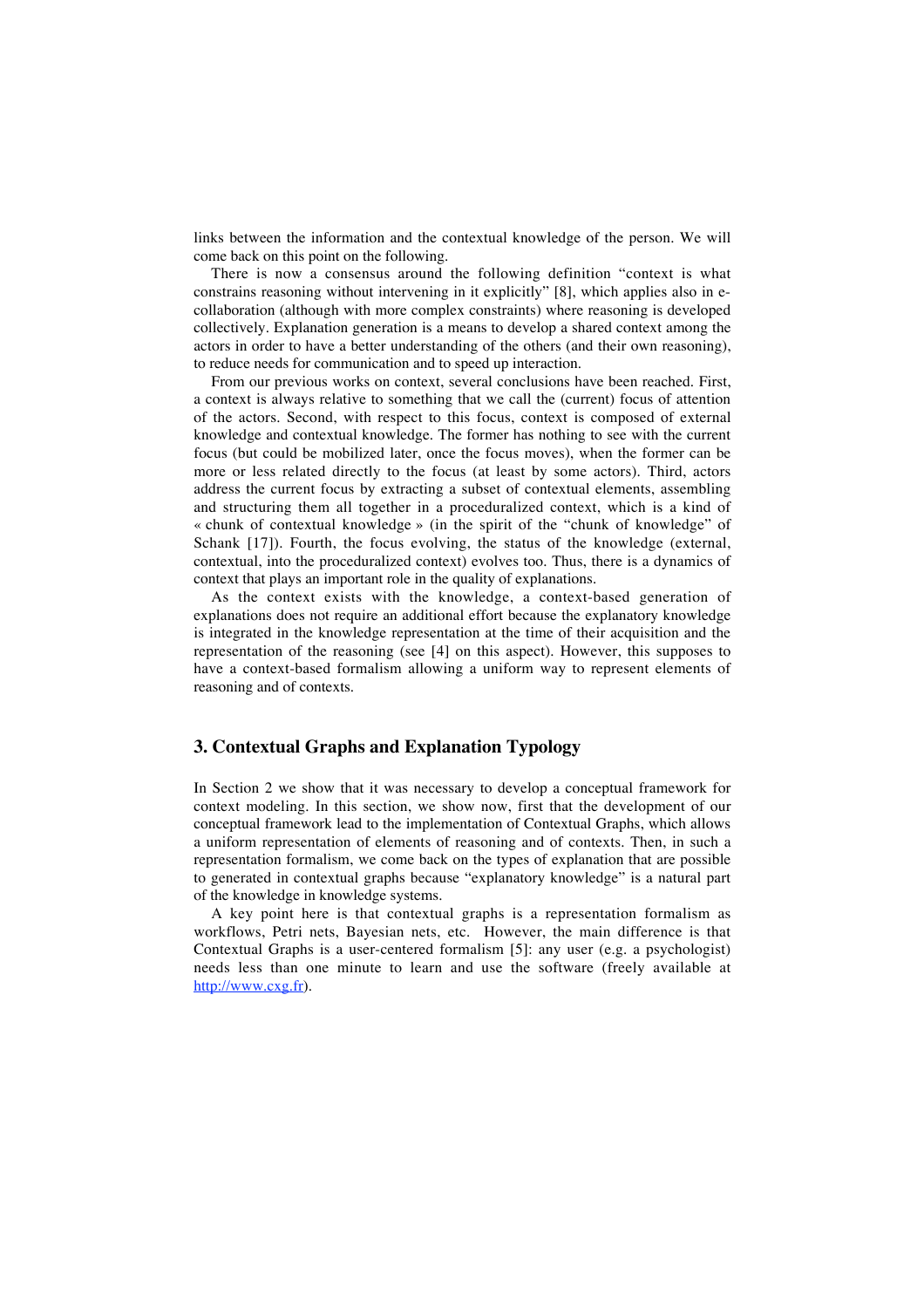links between the information and the contextual knowledge of the person. We will come back on this point on the following.

There is now a consensus around the following definition "context is what constrains reasoning without intervening in it explicitly" [8], which applies also in ecollaboration (although with more complex constraints) where reasoning is developed collectively. Explanation generation is a means to develop a shared context among the actors in order to have a better understanding of the others (and their own reasoning), to reduce needs for communication and to speed up interaction.

From our previous works on context, several conclusions have been reached. First, a context is always relative to something that we call the (current) focus of attention of the actors. Second, with respect to this focus, context is composed of external knowledge and contextual knowledge. The former has nothing to see with the current focus (but could be mobilized later, once the focus moves), when the former can be more or less related directly to the focus (at least by some actors). Third, actors address the current focus by extracting a subset of contextual elements, assembling and structuring them all together in a proceduralized context, which is a kind of « chunk of contextual knowledge » (in the spirit of the "chunk of knowledge" of Schank [17]). Fourth, the focus evolving, the status of the knowledge (external, contextual, into the proceduralized context) evolves too. Thus, there is a dynamics of context that plays an important role in the quality of explanations.

As the context exists with the knowledge, a context-based generation of explanations does not require an additional effort because the explanatory knowledge is integrated in the knowledge representation at the time of their acquisition and the representation of the reasoning (see [4] on this aspect). However, this supposes to have a context-based formalism allowing a uniform way to represent elements of reasoning and of contexts.

# **3. Contextual Graphs and Explanation Typology**

In Section 2 we show that it was necessary to develop a conceptual framework for context modeling. In this section, we show now, first that the development of our conceptual framework lead to the implementation of Contextual Graphs, which allows a uniform representation of elements of reasoning and of contexts. Then, in such a representation formalism, we come back on the types of explanation that are possible to generated in contextual graphs because "explanatory knowledge" is a natural part of the knowledge in knowledge systems.

A key point here is that contextual graphs is a representation formalism as workflows, Petri nets, Bayesian nets, etc. However, the main difference is that Contextual Graphs is a user-centered formalism [5]: any user (e.g. a psychologist) needs less than one minute to learn and use the software (freely available at http://www.cxg.fr).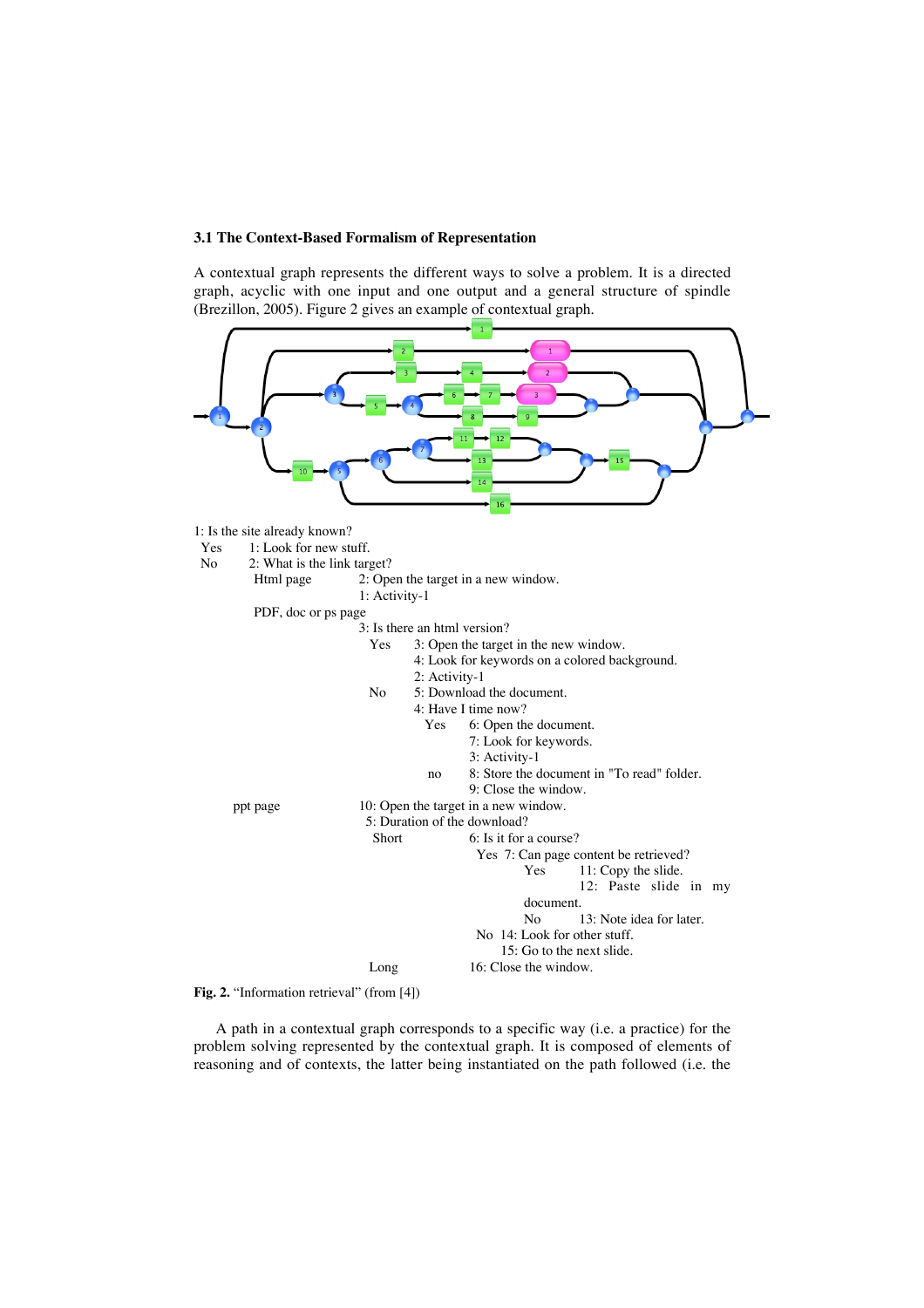# **3.1 The Context-Based Formalism of Representation**

A contextual graph represents the different ways to solve a problem. It is a directed graph, acyclic with one input and one output and a general structure of spindle (Brezillon, 2005). Figure 2 gives an example of contextual graph.



**Fig. 2.** "Information retrieval" (from [4])

A path in a contextual graph corresponds to a specific way (i.e. a practice) for the problem solving represented by the contextual graph. It is composed of elements of reasoning and of contexts, the latter being instantiated on the path followed (i.e. the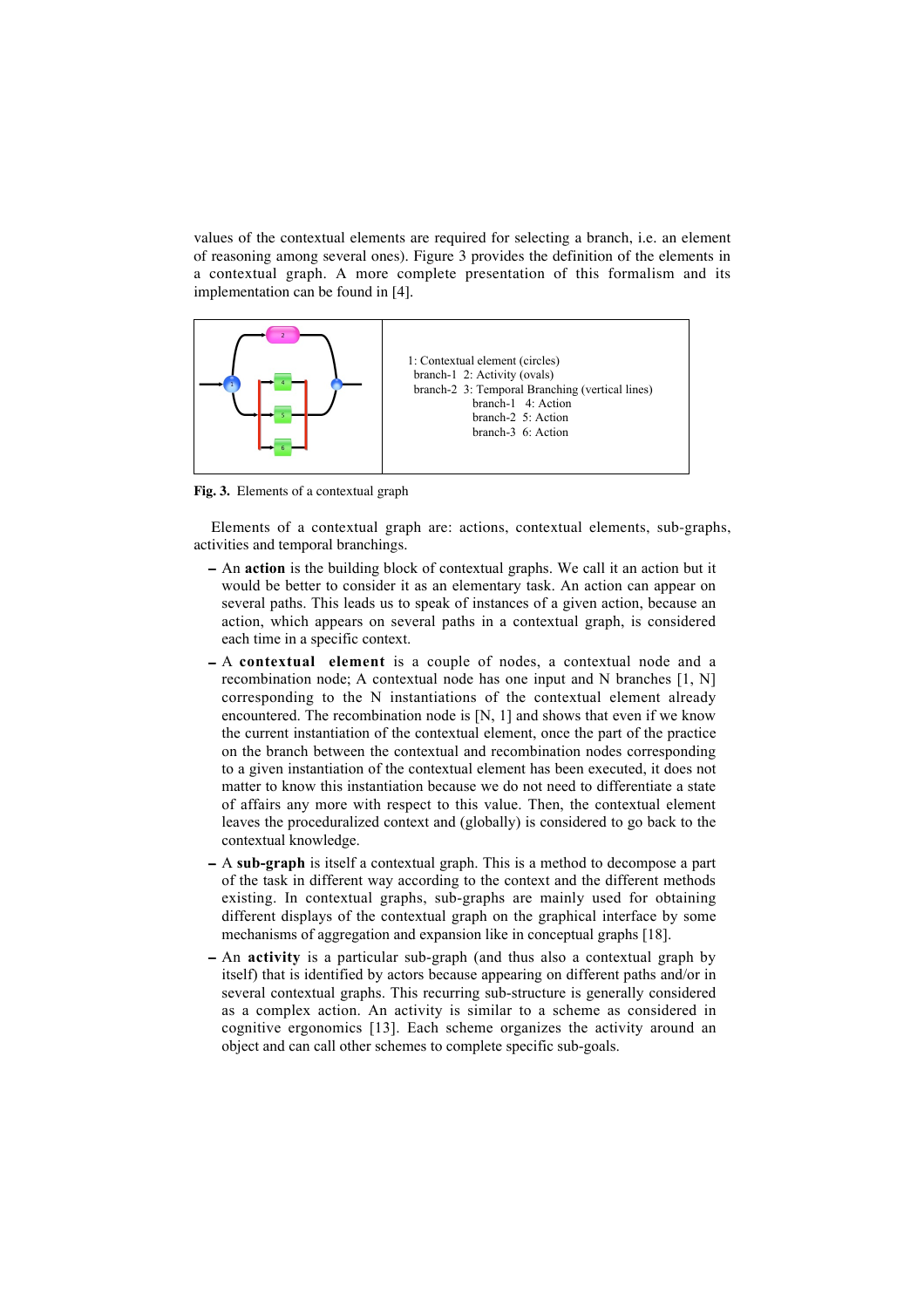values of the contextual elements are required for selecting a branch, i.e. an element of reasoning among several ones). Figure 3 provides the definition of the elements in a contextual graph. A more complete presentation of this formalism and its implementation can be found in [4].



**Fig. 3.** Elements of a contextual graph

Elements of a contextual graph are: actions, contextual elements, sub-graphs, activities and temporal branchings.

- − An **action** is the building block of contextual graphs. We call it an action but it would be better to consider it as an elementary task. An action can appear on several paths. This leads us to speak of instances of a given action, because an action, which appears on several paths in a contextual graph, is considered each time in a specific context.
- − A **contextual element** is a couple of nodes, a contextual node and a recombination node; A contextual node has one input and N branches [1, N] corresponding to the N instantiations of the contextual element already encountered. The recombination node is [N, 1] and shows that even if we know the current instantiation of the contextual element, once the part of the practice on the branch between the contextual and recombination nodes corresponding to a given instantiation of the contextual element has been executed, it does not matter to know this instantiation because we do not need to differentiate a state of affairs any more with respect to this value. Then, the contextual element leaves the proceduralized context and (globally) is considered to go back to the contextual knowledge.
- − A **sub-graph** is itself a contextual graph. This is a method to decompose a part of the task in different way according to the context and the different methods existing. In contextual graphs, sub-graphs are mainly used for obtaining different displays of the contextual graph on the graphical interface by some mechanisms of aggregation and expansion like in conceptual graphs [18].
- − An **activity** is a particular sub-graph (and thus also a contextual graph by itself) that is identified by actors because appearing on different paths and/or in several contextual graphs. This recurring sub-structure is generally considered as a complex action. An activity is similar to a scheme as considered in cognitive ergonomics [13]. Each scheme organizes the activity around an object and can call other schemes to complete specific sub-goals.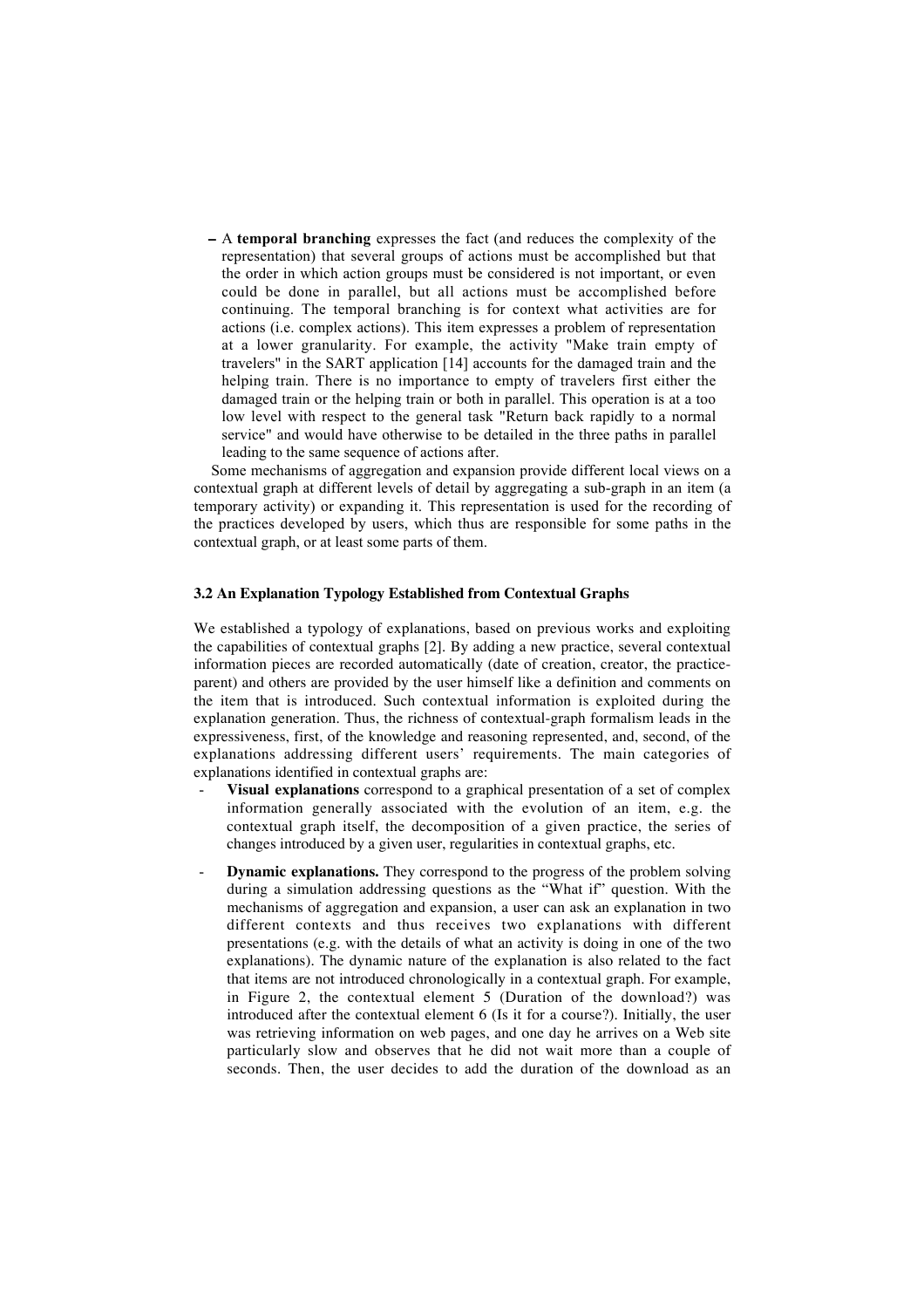− A **temporal branching** expresses the fact (and reduces the complexity of the representation) that several groups of actions must be accomplished but that the order in which action groups must be considered is not important, or even could be done in parallel, but all actions must be accomplished before continuing. The temporal branching is for context what activities are for actions (i.e. complex actions). This item expresses a problem of representation at a lower granularity. For example, the activity "Make train empty of travelers" in the SART application [14] accounts for the damaged train and the helping train. There is no importance to empty of travelers first either the damaged train or the helping train or both in parallel. This operation is at a too low level with respect to the general task "Return back rapidly to a normal service" and would have otherwise to be detailed in the three paths in parallel leading to the same sequence of actions after.

Some mechanisms of aggregation and expansion provide different local views on a contextual graph at different levels of detail by aggregating a sub-graph in an item (a temporary activity) or expanding it. This representation is used for the recording of the practices developed by users, which thus are responsible for some paths in the contextual graph, or at least some parts of them.

# **3.2 An Explanation Typology Established from Contextual Graphs**

We established a typology of explanations, based on previous works and exploiting the capabilities of contextual graphs [2]. By adding a new practice, several contextual information pieces are recorded automatically (date of creation, creator, the practiceparent) and others are provided by the user himself like a definition and comments on the item that is introduced. Such contextual information is exploited during the explanation generation. Thus, the richness of contextual-graph formalism leads in the expressiveness, first, of the knowledge and reasoning represented, and, second, of the explanations addressing different users' requirements. The main categories of explanations identified in contextual graphs are:

- **Visual explanations** correspond to a graphical presentation of a set of complex information generally associated with the evolution of an item, e.g. the contextual graph itself, the decomposition of a given practice, the series of changes introduced by a given user, regularities in contextual graphs, etc.
- **Dynamic explanations.** They correspond to the progress of the problem solving during a simulation addressing questions as the "What if" question. With the mechanisms of aggregation and expansion, a user can ask an explanation in two different contexts and thus receives two explanations with different presentations (e.g. with the details of what an activity is doing in one of the two explanations). The dynamic nature of the explanation is also related to the fact that items are not introduced chronologically in a contextual graph. For example, in Figure 2, the contextual element 5 (Duration of the download?) was introduced after the contextual element 6 (Is it for a course?). Initially, the user was retrieving information on web pages, and one day he arrives on a Web site particularly slow and observes that he did not wait more than a couple of seconds. Then, the user decides to add the duration of the download as an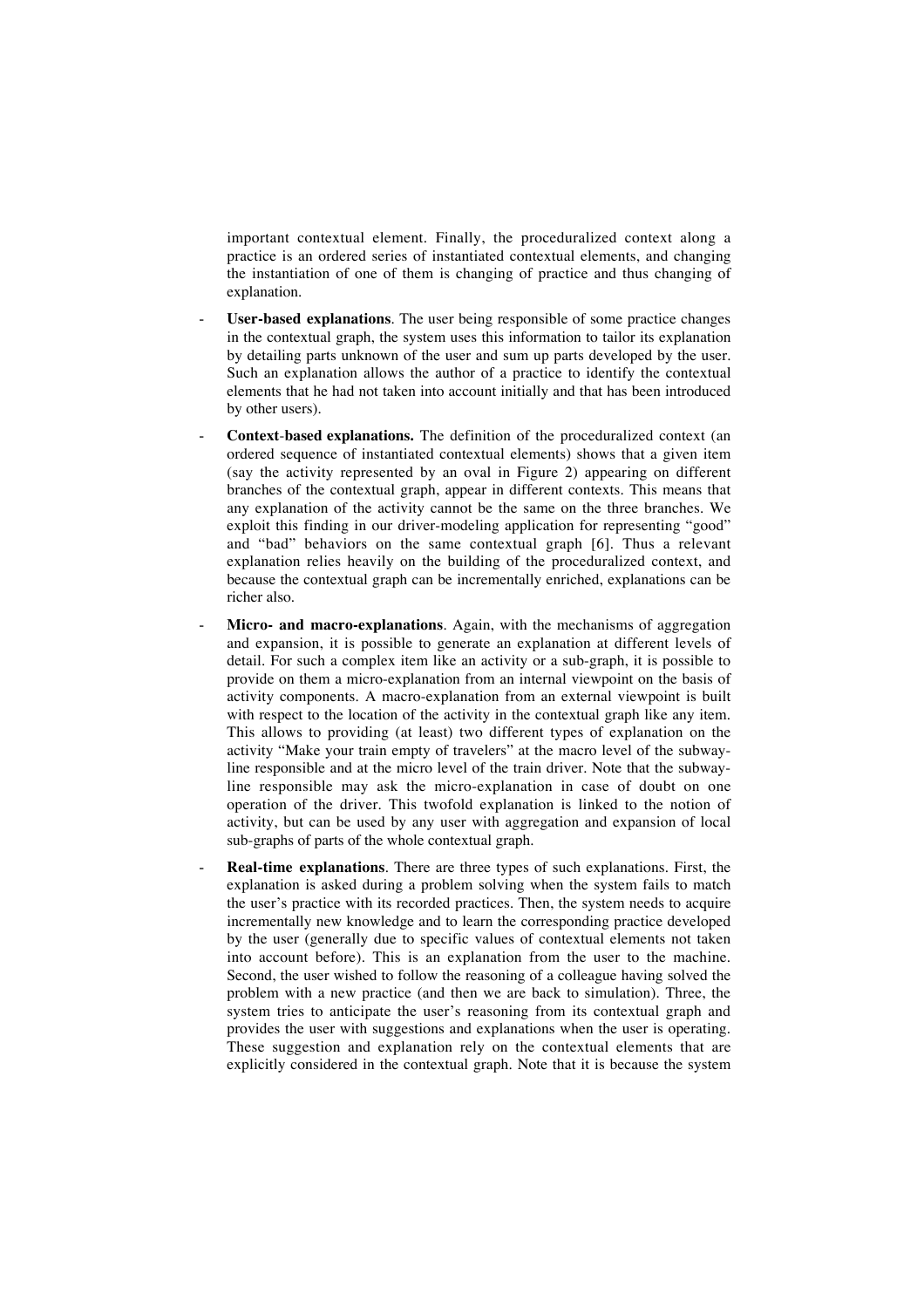important contextual element. Finally, the proceduralized context along a practice is an ordered series of instantiated contextual elements, and changing the instantiation of one of them is changing of practice and thus changing of explanation.

- User-based explanations. The user being responsible of some practice changes in the contextual graph, the system uses this information to tailor its explanation by detailing parts unknown of the user and sum up parts developed by the user. Such an explanation allows the author of a practice to identify the contextual elements that he had not taken into account initially and that has been introduced by other users).
- **Context**-**based explanations.** The definition of the proceduralized context (an ordered sequence of instantiated contextual elements) shows that a given item (say the activity represented by an oval in Figure 2) appearing on different branches of the contextual graph, appear in different contexts. This means that any explanation of the activity cannot be the same on the three branches. We exploit this finding in our driver-modeling application for representing "good" and "bad" behaviors on the same contextual graph [6]. Thus a relevant explanation relies heavily on the building of the proceduralized context, and because the contextual graph can be incrementally enriched, explanations can be richer also.
- Micro- and macro-explanations. Again, with the mechanisms of aggregation and expansion, it is possible to generate an explanation at different levels of detail. For such a complex item like an activity or a sub-graph, it is possible to provide on them a micro-explanation from an internal viewpoint on the basis of activity components. A macro-explanation from an external viewpoint is built with respect to the location of the activity in the contextual graph like any item. This allows to providing (at least) two different types of explanation on the activity "Make your train empty of travelers" at the macro level of the subwayline responsible and at the micro level of the train driver. Note that the subwayline responsible may ask the micro-explanation in case of doubt on one operation of the driver. This twofold explanation is linked to the notion of activity, but can be used by any user with aggregation and expansion of local sub-graphs of parts of the whole contextual graph.
- **Real-time explanations**. There are three types of such explanations. First, the explanation is asked during a problem solving when the system fails to match the user's practice with its recorded practices. Then, the system needs to acquire incrementally new knowledge and to learn the corresponding practice developed by the user (generally due to specific values of contextual elements not taken into account before). This is an explanation from the user to the machine. Second, the user wished to follow the reasoning of a colleague having solved the problem with a new practice (and then we are back to simulation). Three, the system tries to anticipate the user's reasoning from its contextual graph and provides the user with suggestions and explanations when the user is operating. These suggestion and explanation rely on the contextual elements that are explicitly considered in the contextual graph. Note that it is because the system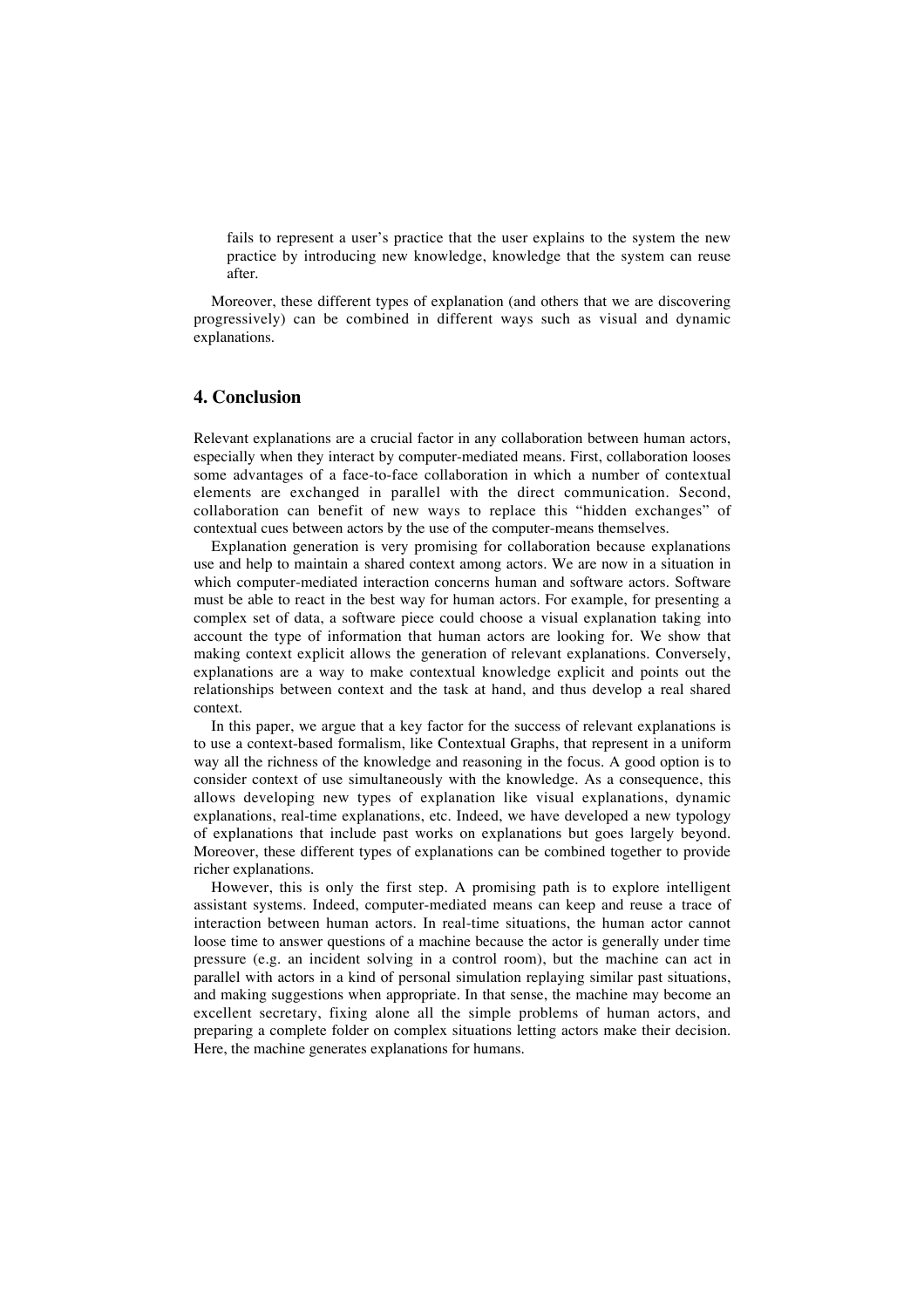fails to represent a user's practice that the user explains to the system the new practice by introducing new knowledge, knowledge that the system can reuse after.

Moreover, these different types of explanation (and others that we are discovering progressively) can be combined in different ways such as visual and dynamic explanations.

# **4. Conclusion**

Relevant explanations are a crucial factor in any collaboration between human actors, especially when they interact by computer-mediated means. First, collaboration looses some advantages of a face-to-face collaboration in which a number of contextual elements are exchanged in parallel with the direct communication. Second, collaboration can benefit of new ways to replace this "hidden exchanges" of contextual cues between actors by the use of the computer-means themselves.

Explanation generation is very promising for collaboration because explanations use and help to maintain a shared context among actors. We are now in a situation in which computer-mediated interaction concerns human and software actors. Software must be able to react in the best way for human actors. For example, for presenting a complex set of data, a software piece could choose a visual explanation taking into account the type of information that human actors are looking for. We show that making context explicit allows the generation of relevant explanations. Conversely, explanations are a way to make contextual knowledge explicit and points out the relationships between context and the task at hand, and thus develop a real shared context.

In this paper, we argue that a key factor for the success of relevant explanations is to use a context-based formalism, like Contextual Graphs, that represent in a uniform way all the richness of the knowledge and reasoning in the focus. A good option is to consider context of use simultaneously with the knowledge. As a consequence, this allows developing new types of explanation like visual explanations, dynamic explanations, real-time explanations, etc. Indeed, we have developed a new typology of explanations that include past works on explanations but goes largely beyond. Moreover, these different types of explanations can be combined together to provide richer explanations.

However, this is only the first step. A promising path is to explore intelligent assistant systems. Indeed, computer-mediated means can keep and reuse a trace of interaction between human actors. In real-time situations, the human actor cannot loose time to answer questions of a machine because the actor is generally under time pressure (e.g. an incident solving in a control room), but the machine can act in parallel with actors in a kind of personal simulation replaying similar past situations, and making suggestions when appropriate. In that sense, the machine may become an excellent secretary, fixing alone all the simple problems of human actors, and preparing a complete folder on complex situations letting actors make their decision. Here, the machine generates explanations for humans.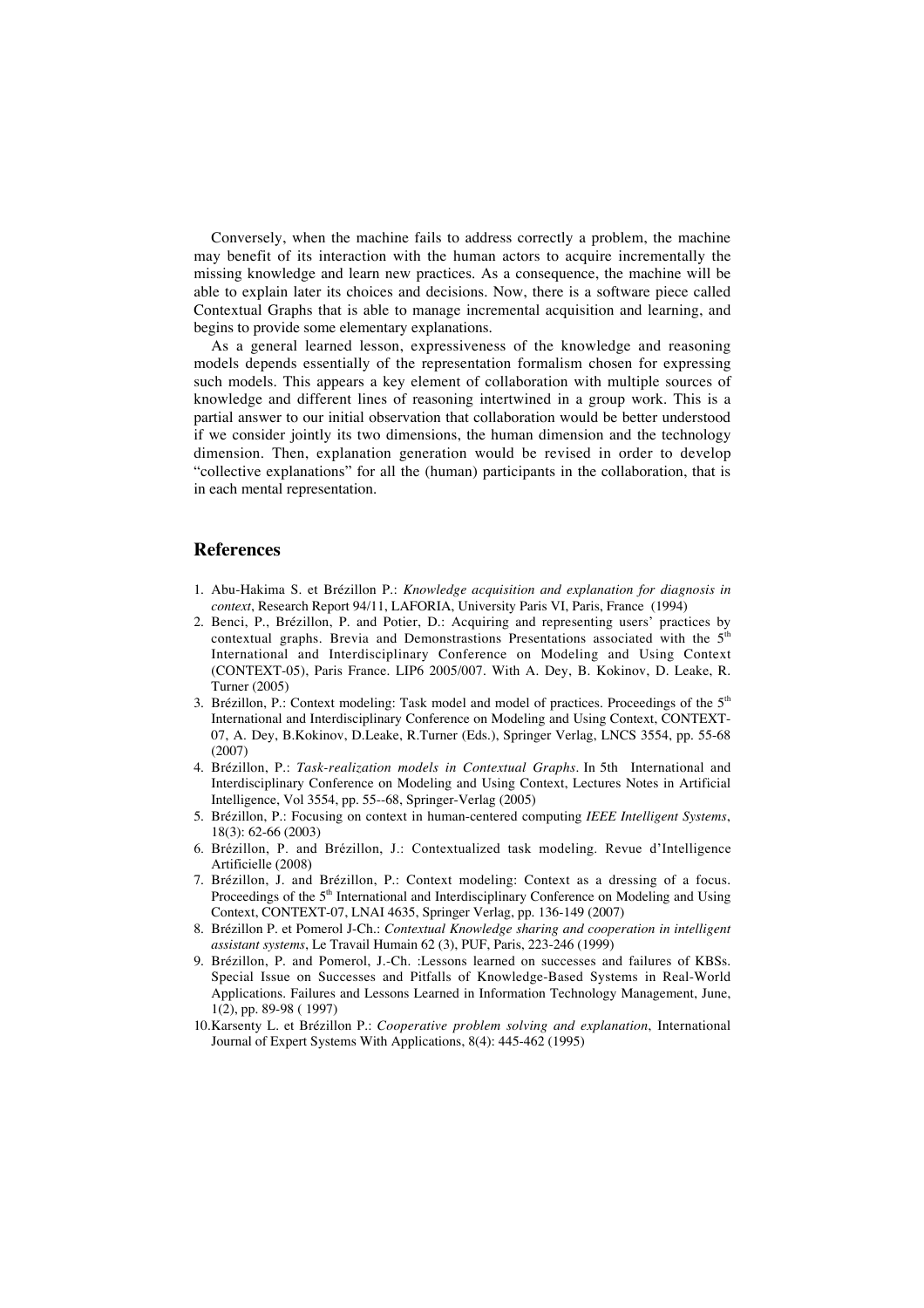Conversely, when the machine fails to address correctly a problem, the machine may benefit of its interaction with the human actors to acquire incrementally the missing knowledge and learn new practices. As a consequence, the machine will be able to explain later its choices and decisions. Now, there is a software piece called Contextual Graphs that is able to manage incremental acquisition and learning, and begins to provide some elementary explanations.

As a general learned lesson, expressiveness of the knowledge and reasoning models depends essentially of the representation formalism chosen for expressing such models. This appears a key element of collaboration with multiple sources of knowledge and different lines of reasoning intertwined in a group work. This is a partial answer to our initial observation that collaboration would be better understood if we consider jointly its two dimensions, the human dimension and the technology dimension. Then, explanation generation would be revised in order to develop "collective explanations" for all the (human) participants in the collaboration, that is in each mental representation.

# **References**

- 1. Abu-Hakima S. et Brézillon P.: *Knowledge acquisition and explanation for diagnosis in context*, Research Report 94/11, LAFORIA, University Paris VI, Paris, France (1994)
- 2. Benci, P., Brézillon, P. and Potier, D.: Acquiring and representing users' practices by contextual graphs. Brevia and Demonstrastions Presentations associated with the 5<sup>th</sup> International and Interdisciplinary Conference on Modeling and Using Context (CONTEXT-05), Paris France. LIP6 2005/007. With A. Dey, B. Kokinov, D. Leake, R. Turner (2005)
- 3. Brézillon, P.: Context modeling: Task model and model of practices. Proceedings of the  $5<sup>th</sup>$ International and Interdisciplinary Conference on Modeling and Using Context, CONTEXT-07, A. Dey, B.Kokinov, D.Leake, R.Turner (Eds.), Springer Verlag, LNCS 3554, pp. 55-68 (2007)
- 4. Brézillon, P.: *Task-realization models in Contextual Graphs*. In 5th International and Interdisciplinary Conference on Modeling and Using Context, Lectures Notes in Artificial Intelligence, Vol 3554, pp. 55--68, Springer-Verlag (2005)
- 5. Brézillon, P.: Focusing on context in human-centered computing *IEEE Intelligent Systems*, 18(3): 62-66 (2003)
- 6. Brézillon, P. and Brézillon, J.: Contextualized task modeling. Revue d'Intelligence Artificielle (2008)
- 7. Brézillon, J. and Brézillon, P.: Context modeling: Context as a dressing of a focus. Proceedings of the  $5<sup>th</sup>$  International and Interdisciplinary Conference on Modeling and Using Context, CONTEXT-07, LNAI 4635, Springer Verlag, pp. 136-149 (2007)
- 8. Brézillon P. et Pomerol J-Ch.: *Contextual Knowledge sharing and cooperation in intelligent assistant systems*, Le Travail Humain 62 (3), PUF, Paris, 223-246 (1999)
- 9. Brézillon, P. and Pomerol, J.-Ch. :Lessons learned on successes and failures of KBSs. Special Issue on Successes and Pitfalls of Knowledge-Based Systems in Real-World Applications. Failures and Lessons Learned in Information Technology Management, June, 1(2), pp. 89-98 ( 1997)
- 10.Karsenty L. et Brézillon P.: *Cooperative problem solving and explanation*, International Journal of Expert Systems With Applications, 8(4): 445-462 (1995)